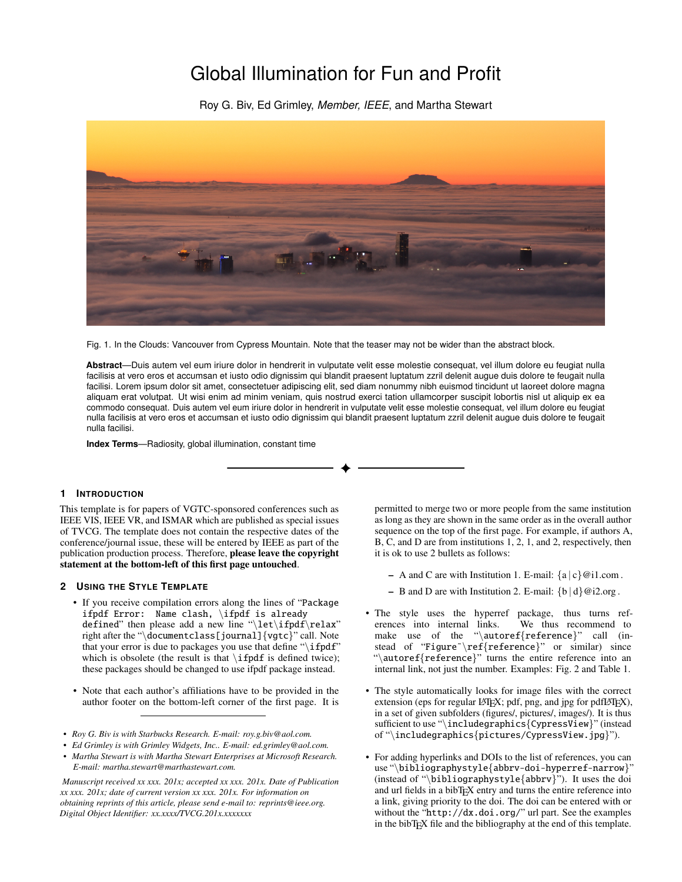# Global Illumination for Fun and Profit

Roy G. Biv, Ed Grimley, *Member, IEEE*, and Martha Stewart



Fig. 1. In the Clouds: Vancouver from Cypress Mountain. Note that the teaser may not be wider than the abstract block.

**Abstract**—Duis autem vel eum iriure dolor in hendrerit in vulputate velit esse molestie consequat, vel illum dolore eu feugiat nulla facilisis at vero eros et accumsan et iusto odio dignissim qui blandit praesent luptatum zzril delenit augue duis dolore te feugait nulla facilisi. Lorem ipsum dolor sit amet, consectetuer adipiscing elit, sed diam nonummy nibh euismod tincidunt ut laoreet dolore magna aliquam erat volutpat. Ut wisi enim ad minim veniam, quis nostrud exerci tation ullamcorper suscipit lobortis nisl ut aliquip ex ea commodo consequat. Duis autem vel eum iriure dolor in hendrerit in vulputate velit esse molestie consequat, vel illum dolore eu feugiat nulla facilisis at vero eros et accumsan et iusto odio dignissim qui blandit praesent luptatum zzril delenit augue duis dolore te feugait nulla facilisi.

**Index Terms**—Radiosity, global illumination, constant time

## **1 INTRODUCTION**

This template is for papers of VGTC-sponsored conferences such as IEEE VIS, IEEE VR, and ISMAR which are published as special issues of TVCG. The template does not contain the respective dates of the conference/journal issue, these will be entered by IEEE as part of the publication production process. Therefore, please leave the copyright statement at the bottom-left of this first page untouched.

# **2 USING THE STYLE TEMPLATE**

- If you receive compilation errors along the lines of "Package ifpdf Error: Name clash, \ifpdf is already defined" then please add a new line "\let\ifpdf\relax" right after the "\documentclass[journal]{vgtc}" call. Note that your error is due to packages you use that define " $\iint_{\mathbf{F}}$ " which is obsolete (the result is that  $\ifmmode\big\vert\else\fi$  is defined twice); these packages should be changed to use ifpdf package instead.
- Note that each author's affiliations have to be provided in the author footer on the bottom-left corner of the first page. It is
- *Roy G. Biv is with Starbucks Research. E-mail: roy.g.biv@aol.com.*
- *Ed Grimley is with Grimley Widgets, Inc.. E-mail: ed.grimley@aol.com.*
- *Martha Stewart is with Martha Stewart Enterprises at Microsoft Research. E-mail: martha.stewart@marthastewart.com.*

*Manuscript received xx xxx. 201x; accepted xx xxx. 201x. Date of Publication xx xxx. 201x; date of current version xx xxx. 201x. For information on obtaining reprints of this article, please send e-mail to: reprints@ieee.org. Digital Object Identifier: xx.xxxx/TVCG.201x.xxxxxxx*

permitted to merge two or more people from the same institution as long as they are shown in the same order as in the overall author sequence on the top of the first page. For example, if authors A, B, C, and D are from institutions 1, 2, 1, and 2, respectively, then it is ok to use 2 bullets as follows:

- A and C are with Institution 1. E-mail:  $\{a \mid c\}$  @i1.com.
- B and D are with Institution 2. E-mail:  $\{b \mid d\}$  @i2.org.
- The style uses the hyperref package, thus turns references into internal links. We thus recommend to make use of the "\autoref{reference}" call (instead of "Figure"\ref{reference}" or similar) since "\autoref{reference}" turns the entire reference into an internal link, not just the number. Examples: [Fig. 2](#page-2-0) and [Table 1.](#page-2-1)
- The style automatically looks for image files with the correct extension (eps for regular LAT<sub>E</sub>X; pdf, png, and jpg for pdfLAT<sub>E</sub>X), in a set of given subfolders (figures/, pictures/, images/). It is thus sufficient to use "\includegraphics{CypressView}" (instead of "\includegraphics{pictures/CypressView.jpg}").
- For adding hyperlinks and DOIs to the list of references, you can use "\bibliographystyle{abbrv-doi-hyperref-narrow}" (instead of "\bibliographystyle{abbrv}"). It uses the doi and url fields in a bibT<sub>E</sub>X entry and turns the entire reference into a link, giving priority to the doi. The doi can be entered with or without the "http://dx.doi.org/" url part. See the examples in the bibTEX file and the bibliography at the end of this template.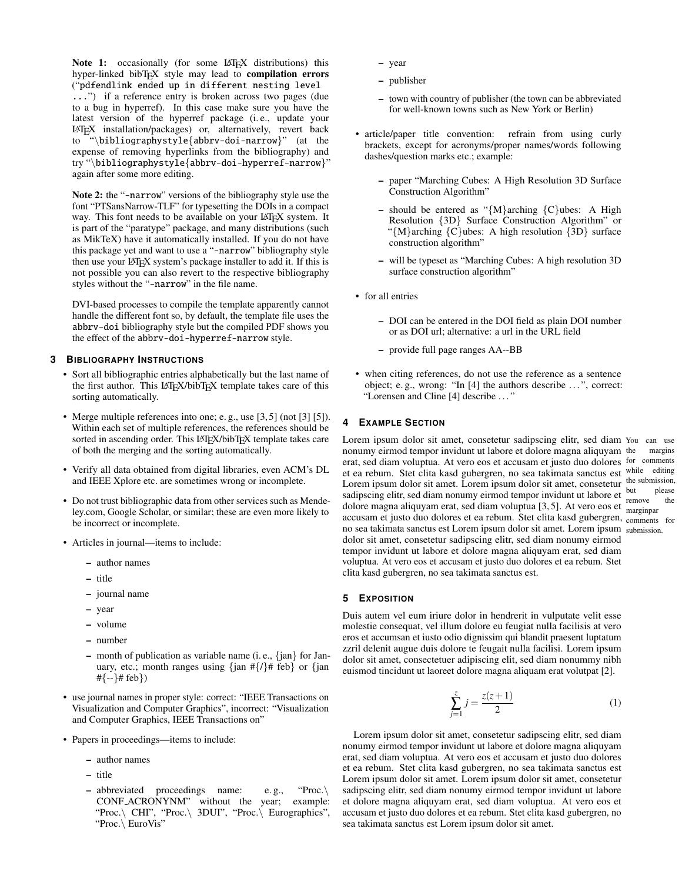Note 1: occasionally (for some LATEX distributions) this hyper-linked bibTEX style may lead to compilation errors ("pdfendlink ended up in different nesting level ...") if a reference entry is broken across two pages (due to a bug in hyperref). In this case make sure you have the latest version of the hyperref package (i. e., update your LATEX installation/packages) or, alternatively, revert back "\bibliographystyle{abbrv-doi-narrow}" (at the expense of removing hyperlinks from the bibliography) and try "\bibliographystyle{abbrv-doi-hyperref-narrow}" again after some more editing.

Note 2: the "-narrow" versions of the bibliography style use the font "PTSansNarrow-TLF" for typesetting the DOIs in a compact way. This font needs to be available on your LAT<sub>EX</sub> system. It is part of the ["paratype" package,](https://www.ctan.org/pkg/paratype) and many distributions (such as MikTeX) have it automatically installed. If you do not have this package yet and want to use a "-narrow" bibliography style then use your LAT<sub>E</sub>X system's package installer to add it. If this is not possible you can also revert to the respective bibliography styles without the "-narrow" in the file name.

DVI-based processes to compile the template apparently cannot handle the different font so, by default, the template file uses the abbrv-doi bibliography style but the compiled PDF shows you the effect of the abbrv-doi-hyperref-narrow style.

## **3 BIBLIOGRAPHY INSTRUCTIONS**

- Sort all bibliographic entries alphabetically but the last name of the first author. This LATEX/bibTEX template takes care of this sorting automatically.
- Merge multiple references into one; e. g., use [\[3,](#page-3-0) [5\]](#page-3-1) (not [\[3\]](#page-3-0) [\[5\]](#page-3-1)). Within each set of multiple references, the references should be sorted in ascending order. This LATEX/bibTEX template takes care of both the merging and the sorting automatically.
- Verify all data obtained from digital libraries, even ACM's DL and IEEE Xplore etc. are sometimes wrong or incomplete.
- Do not trust bibliographic data from other services such as Mendeley.com, Google Scholar, or similar; these are even more likely to be incorrect or incomplete.
- Articles in journal—items to include:
	- author names
	- title
	- journal name
	- year
	- volume
	- number
	- month of publication as variable name (i. e., {jan} for January, etc.; month ranges using  $\{\int \tan \frac{\pi}{4} f(x) dx\}$  or  $\{\int \tan \frac{\pi}{4} f(x) dx\}$  $\{+(-1)$ # feb})
- use journal names in proper style: correct: "IEEE Transactions on Visualization and Computer Graphics", incorrect: "Visualization and Computer Graphics, IEEE Transactions on"
- Papers in proceedings—items to include:
	- author names
	- title
	- abbreviated proceedings name: e. g., "Proc.\ CONF ACRONYNM" without the year; example: "Proc.\ CHI", "Proc.\ 3DUI", "Proc.\ Eurographics", "Proc.\ EuroVis"
- year
- publisher
- town with country of publisher (the town can be abbreviated for well-known towns such as New York or Berlin)
- article/paper title convention: refrain from using curly brackets, except for acronyms/proper names/words following dashes/question marks etc.; example:
	- paper "Marching Cubes: A High Resolution 3D Surface Construction Algorithm"
	- should be entered as "{M}arching {C}ubes: A High Resolution {3D} Surface Construction Algorithm" or " $\{M\}$ arching  $\{C\}$ ubes: A high resolution  $\{3D\}$  surface construction algorithm"
	- will be typeset as "Marching Cubes: A high resolution 3D surface construction algorithm"
- for all entries
	- DOI can be entered in the DOI field as plain DOI number or as DOI url; alternative: a url in the URL field
	- provide full page ranges AA--BB
- when citing references, do not use the reference as a sentence object; e.g., wrong: "In [\[4\]](#page-3-2) the authors describe ...", correct: "Lorensen and Cline [\[4\]](#page-3-2) describe . . . "

## **4 EXAMPLE SECTION**

Lorem ipsum dolor sit amet, consetetur sadipscing elitr, sed diam You can use margins erat, sed diam voluptua. At vero eos et accusam et justo duo dolores for comments et ea rebum. Stet clita kasd gubergren, no sea takimata sanctus est while editing the submission, but please remove the dolore magna aliquyam erat, sed diam voluptua  $[3, 5]$  $[3, 5]$ . At vero eos et  $\frac{\text{t}}{\text{marginpar}}$ accusam et justo duo dolores et ea rebum. Stet clita kasd gubergren, comments for no sea takimata sanctus est Lorem ipsum dolor sit amet. Lorem ipsum submission. nonumy eirmod tempor invidunt ut labore et dolore magna aliquyam Lorem ipsum dolor sit amet. Lorem ipsum dolor sit amet, consetetur sadipscing elitr, sed diam nonumy eirmod tempor invidunt ut labore et dolor sit amet, consetetur sadipscing elitr, sed diam nonumy eirmod tempor invidunt ut labore et dolore magna aliquyam erat, sed diam voluptua. At vero eos et accusam et justo duo dolores et ea rebum. Stet clita kasd gubergren, no sea takimata sanctus est.

# **5 EXPOSITION**

Duis autem vel eum iriure dolor in hendrerit in vulputate velit esse molestie consequat, vel illum dolore eu feugiat nulla facilisis at vero eros et accumsan et iusto odio dignissim qui blandit praesent luptatum zzril delenit augue duis dolore te feugait nulla facilisi. Lorem ipsum dolor sit amet, consectetuer adipiscing elit, sed diam nonummy nibh euismod tincidunt ut laoreet dolore magna aliquam erat volutpat [\[2\]](#page-3-3).

$$
\sum_{j=1}^{z} j = \frac{z(z+1)}{2} \tag{1}
$$

Lorem ipsum dolor sit amet, consetetur sadipscing elitr, sed diam nonumy eirmod tempor invidunt ut labore et dolore magna aliquyam erat, sed diam voluptua. At vero eos et accusam et justo duo dolores et ea rebum. Stet clita kasd gubergren, no sea takimata sanctus est Lorem ipsum dolor sit amet. Lorem ipsum dolor sit amet, consetetur sadipscing elitr, sed diam nonumy eirmod tempor invidunt ut labore et dolore magna aliquyam erat, sed diam voluptua. At vero eos et accusam et justo duo dolores et ea rebum. Stet clita kasd gubergren, no sea takimata sanctus est Lorem ipsum dolor sit amet.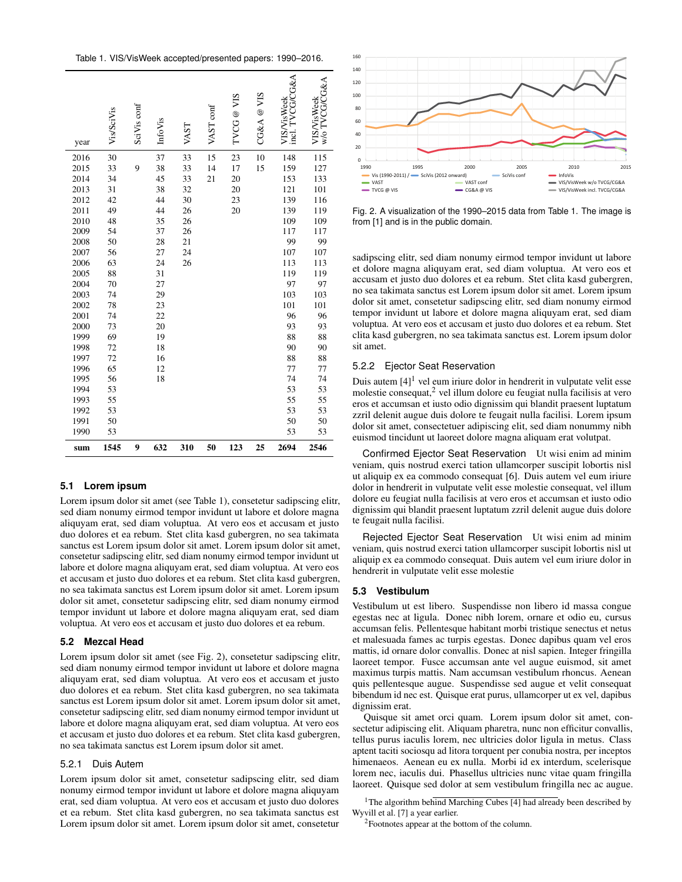<span id="page-2-1"></span>

| Table 1. VIS/VisWeek accepted/presented papers: 1990-2016. |
|------------------------------------------------------------|
|------------------------------------------------------------|

| year | <b>Vis/SciVis</b> | SciVis conf | <b>InfoVis</b> | VAST | VAST conf | SIA<br>TVCG @ | CG&A@VIS | $G\&A$<br>VIS/VisWeek<br><b>TYCG</b><br>.<br>Incl. | w/o TVCG/CG&A<br>VIS/VisWeek |
|------|-------------------|-------------|----------------|------|-----------|---------------|----------|----------------------------------------------------|------------------------------|
| 2016 | 30                |             | 37             | 33   | 15        | 23            | 10       | 148                                                | 115                          |
| 2015 | 33                | 9           | 38             | 33   | 14        | 17            | 15       | 159                                                | 127                          |
| 2014 | 34                |             | 45             | 33   | 21        | 20            |          | 153                                                | 133                          |
| 2013 | 31                |             | 38             | 32   |           | 20            |          | 121                                                | 101                          |
| 2012 | 42                |             | 44             | 30   |           | 23            |          | 139                                                | 116                          |
| 2011 | 49                |             | 44             | 26   |           | 20            |          | 139                                                | 119                          |
| 2010 | 48                |             | 35             | 26   |           |               |          | 109                                                | 109                          |
| 2009 | 54                |             | 37             | 26   |           |               |          | 117                                                | 117                          |
| 2008 | 50                |             | 28             | 21   |           |               |          | 99                                                 | 99                           |
| 2007 | 56                |             | 27             | 24   |           |               |          | 107                                                | 107                          |
| 2006 | 63                |             | 24             | 26   |           |               |          | 113                                                | 113                          |
| 2005 | 88                |             | 31             |      |           |               |          | 119                                                | 119                          |
| 2004 | 70                |             | 27             |      |           |               |          | 97                                                 | 97                           |
| 2003 | 74                |             | 29             |      |           |               |          | 103                                                | 103                          |
| 2002 | 78                |             | 23             |      |           |               |          | 101                                                | 101                          |
| 2001 | 74                |             | 22             |      |           |               |          | 96                                                 | 96                           |
| 2000 | 73                |             | 20             |      |           |               |          | 93                                                 | 93                           |
| 1999 | 69                |             | 19             |      |           |               |          | 88                                                 | 88                           |
| 1998 | 72                |             | 18             |      |           |               |          | 90                                                 | 90                           |
| 1997 | 72                |             | 16             |      |           |               |          | 88                                                 | 88                           |
| 1996 | 65                |             | 12             |      |           |               |          | 77                                                 | 77                           |
| 1995 | 56                |             | 18             |      |           |               |          | 74                                                 | 74                           |
| 1994 | 53                |             |                |      |           |               |          | 53                                                 | 53                           |
| 1993 | 55                |             |                |      |           |               |          | 55                                                 | 55                           |
| 1992 | 53                |             |                |      |           |               |          | 53                                                 | 53                           |
| 1991 | 50                |             |                |      |           |               |          | 50                                                 | 50                           |
| 1990 | 53                |             |                |      |           |               |          | 53                                                 | 53                           |
| sum  | 1545              | 9           | 632            | 310  | 50        | 123           | 25       | 2694                                               | 2546                         |

## **5.1 Lorem ipsum**

Lorem ipsum dolor sit amet (see [Table 1\)](#page-2-1), consetetur sadipscing elitr, sed diam nonumy eirmod tempor invidunt ut labore et dolore magna aliquyam erat, sed diam voluptua. At vero eos et accusam et justo duo dolores et ea rebum. Stet clita kasd gubergren, no sea takimata sanctus est Lorem ipsum dolor sit amet. Lorem ipsum dolor sit amet, consetetur sadipscing elitr, sed diam nonumy eirmod tempor invidunt ut labore et dolore magna aliquyam erat, sed diam voluptua. At vero eos et accusam et justo duo dolores et ea rebum. Stet clita kasd gubergren, no sea takimata sanctus est Lorem ipsum dolor sit amet. Lorem ipsum dolor sit amet, consetetur sadipscing elitr, sed diam nonumy eirmod tempor invidunt ut labore et dolore magna aliquyam erat, sed diam voluptua. At vero eos et accusam et justo duo dolores et ea rebum.

# **5.2 Mezcal Head**

Lorem ipsum dolor sit amet (see [Fig. 2\)](#page-2-0), consetetur sadipscing elitr, sed diam nonumy eirmod tempor invidunt ut labore et dolore magna aliquyam erat, sed diam voluptua. At vero eos et accusam et justo duo dolores et ea rebum. Stet clita kasd gubergren, no sea takimata sanctus est Lorem ipsum dolor sit amet. Lorem ipsum dolor sit amet, consetetur sadipscing elitr, sed diam nonumy eirmod tempor invidunt ut labore et dolore magna aliquyam erat, sed diam voluptua. At vero eos et accusam et justo duo dolores et ea rebum. Stet clita kasd gubergren, no sea takimata sanctus est Lorem ipsum dolor sit amet.

## 5.2.1 Duis Autem

Lorem ipsum dolor sit amet, consetetur sadipscing elitr, sed diam nonumy eirmod tempor invidunt ut labore et dolore magna aliquyam erat, sed diam voluptua. At vero eos et accusam et justo duo dolores et ea rebum. Stet clita kasd gubergren, no sea takimata sanctus est Lorem ipsum dolor sit amet. Lorem ipsum dolor sit amet, consetetur



<span id="page-2-0"></span>Fig. 2. A visualization of the 1990–2015 data from [Table 1.](#page-2-1) The image is from [\[1\]](#page-3-4) and is in the public domain.

sadipscing elitr, sed diam nonumy eirmod tempor invidunt ut labore et dolore magna aliquyam erat, sed diam voluptua. At vero eos et accusam et justo duo dolores et ea rebum. Stet clita kasd gubergren, no sea takimata sanctus est Lorem ipsum dolor sit amet. Lorem ipsum dolor sit amet, consetetur sadipscing elitr, sed diam nonumy eirmod tempor invidunt ut labore et dolore magna aliquyam erat, sed diam voluptua. At vero eos et accusam et justo duo dolores et ea rebum. Stet clita kasd gubergren, no sea takimata sanctus est. Lorem ipsum dolor sit amet.

## 5.2.2 Ejector Seat Reservation

Duis autem  $[4]$ <sup>[1](#page-2-2)</sup> vel eum iriure dolor in hendrerit in vulputate velit esse molestie consequat,[2](#page-2-3) vel illum dolore eu feugiat nulla facilisis at vero eros et accumsan et iusto odio dignissim qui blandit praesent luptatum zzril delenit augue duis dolore te feugait nulla facilisi. Lorem ipsum dolor sit amet, consectetuer adipiscing elit, sed diam nonummy nibh euismod tincidunt ut laoreet dolore magna aliquam erat volutpat.

Confirmed Ejector Seat Reservation Ut wisi enim ad minim veniam, quis nostrud exerci tation ullamcorper suscipit lobortis nisl ut aliquip ex ea commodo consequat [\[6\]](#page-3-5). Duis autem vel eum iriure dolor in hendrerit in vulputate velit esse molestie consequat, vel illum dolore eu feugiat nulla facilisis at vero eros et accumsan et iusto odio dignissim qui blandit praesent luptatum zzril delenit augue duis dolore te feugait nulla facilisi.

Rejected Ejector Seat Reservation Ut wisi enim ad minim veniam, quis nostrud exerci tation ullamcorper suscipit lobortis nisl ut aliquip ex ea commodo consequat. Duis autem vel eum iriure dolor in hendrerit in vulputate velit esse molestie

## **5.3 Vestibulum**

Vestibulum ut est libero. Suspendisse non libero id massa congue egestas nec at ligula. Donec nibh lorem, ornare et odio eu, cursus accumsan felis. Pellentesque habitant morbi tristique senectus et netus et malesuada fames ac turpis egestas. Donec dapibus quam vel eros mattis, id ornare dolor convallis. Donec at nisl sapien. Integer fringilla laoreet tempor. Fusce accumsan ante vel augue euismod, sit amet maximus turpis mattis. Nam accumsan vestibulum rhoncus. Aenean quis pellentesque augue. Suspendisse sed augue et velit consequat bibendum id nec est. Quisque erat purus, ullamcorper ut ex vel, dapibus dignissim erat.

Quisque sit amet orci quam. Lorem ipsum dolor sit amet, consectetur adipiscing elit. Aliquam pharetra, nunc non efficitur convallis, tellus purus iaculis lorem, nec ultricies dolor ligula in metus. Class aptent taciti sociosqu ad litora torquent per conubia nostra, per inceptos himenaeos. Aenean eu ex nulla. Morbi id ex interdum, scelerisque lorem nec, iaculis dui. Phasellus ultricies nunc vitae quam fringilla laoreet. Quisque sed dolor at sem vestibulum fringilla nec ac augue.

<sup>1</sup>The algorithm behind Marching Cubes [\[4\]](#page-3-2) had already been described by Wyvill et al. [\[7\]](#page-3-6) a year earlier.

<span id="page-2-3"></span><span id="page-2-2"></span><sup>2</sup>Footnotes appear at the bottom of the column.